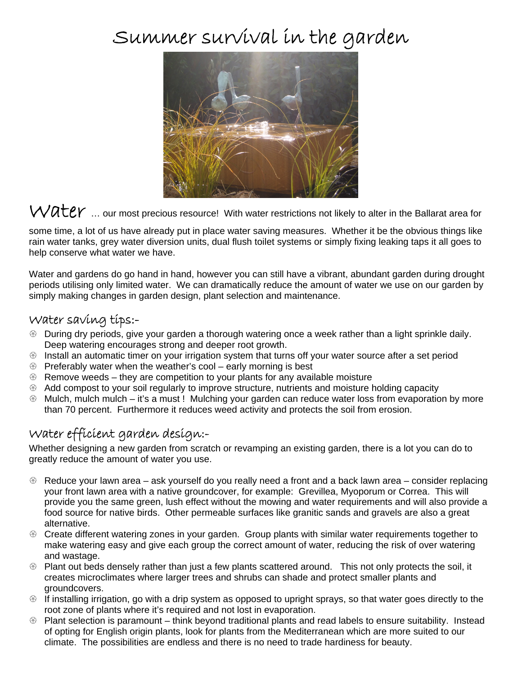# Summer survival in the garden



 $W\mathcal{A}\mathsf{t}$ er ... our most precious resource! With water restrictions not likely to alter in the Ballarat area for

some time, a lot of us have already put in place water saving measures. Whether it be the obvious things like rain water tanks, grey water diversion units, dual flush toilet systems or simply fixing leaking taps it all goes to help conserve what water we have.

Water and gardens do go hand in hand, however you can still have a vibrant, abundant garden during drought periods utilising only limited water. We can dramatically reduce the amount of water we use on our garden by simply making changes in garden design, plant selection and maintenance.

#### Water saving tips:-

- $\circledast$  During dry periods, give your garden a thorough watering once a week rather than a light sprinkle daily. Deep watering encourages strong and deeper root growth.
- $\circledast$  Install an automatic timer on your irrigation system that turns off your water source after a set period
- $\circledast$  Preferably water when the weather's cool early morning is best
- $\circledast$  Remove weeds they are competition to your plants for any available moisture
- $\circledast$  Add compost to your soil regularly to improve structure, nutrients and moisture holding capacity
- $\circledast$  Mulch, mulch mulch it's a must ! Mulching your garden can reduce water loss from evaporation by more than 70 percent. Furthermore it reduces weed activity and protects the soil from erosion.

#### Water efficient garden design:-

Whether designing a new garden from scratch or revamping an existing garden, there is a lot you can do to greatly reduce the amount of water you use.

- $\circledast$  Reduce your lawn area ask yourself do you really need a front and a back lawn area consider replacing your front lawn area with a native groundcover, for example: Grevillea, Myoporum or Correa. This will provide you the same green, lush effect without the mowing and water requirements and will also provide a food source for native birds. Other permeable surfaces like granitic sands and gravels are also a great alternative.
- <sup>®</sup> Create different watering zones in your garden. Group plants with similar water requirements together to make watering easy and give each group the correct amount of water, reducing the risk of over watering and wastage.
- $\circledast$  Plant out beds densely rather than just a few plants scattered around. This not only protects the soil, it creates microclimates where larger trees and shrubs can shade and protect smaller plants and groundcovers.
- $\circledast$  If installing irrigation, go with a drip system as opposed to upright sprays, so that water goes directly to the root zone of plants where it's required and not lost in evaporation.
- $\circledast$  Plant selection is paramount think beyond traditional plants and read labels to ensure suitability. Instead of opting for English origin plants, look for plants from the Mediterranean which are more suited to our climate. The possibilities are endless and there is no need to trade hardiness for beauty.